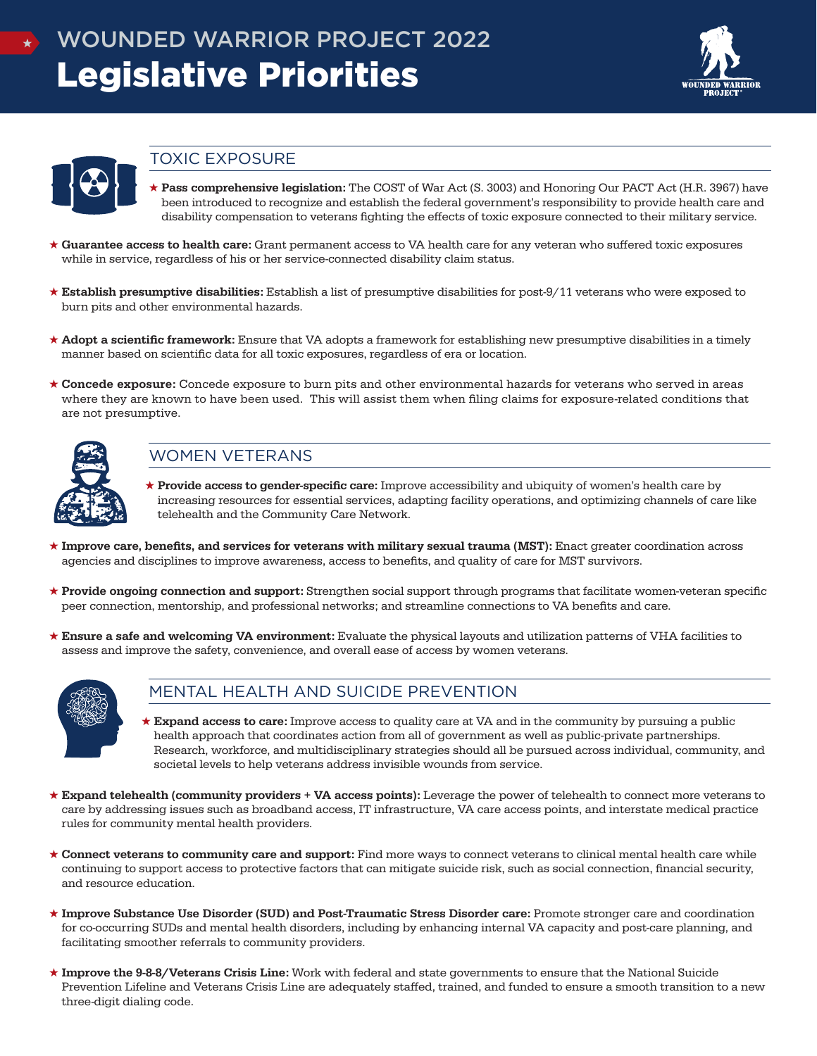# WOUNDED WARRIOR PROJECT 2022 Legislative Priorities





#### TOXIC EXPOSURE

- $\star$  Pass comprehensive legislation: The COST of War Act (S. 3003) and Honoring Our PACT Act (H.R. 3967) have been introduced to recognize and establish the federal government's responsibility to provide health care and disability compensation to veterans fighting the effects of toxic exposure connected to their military service.
- $\star$  Guarantee access to health care: Grant permanent access to VA health care for any veteran who suffered toxic exposures while in service, regardless of his or her service-connected disability claim status.
- $\star$  Establish presumptive disabilities: Establish a list of presumptive disabilities for post-9/11 veterans who were exposed to burn pits and other environmental hazards.
- $\star$  Adopt a scientific framework: Ensure that VA adopts a framework for establishing new presumptive disabilities in a timely manner based on scientific data for all toxic exposures, regardless of era or location.
- $\star$  Concede exposure: Concede exposure to burn pits and other environmental hazards for veterans who served in areas where they are known to have been used. This will assist them when filing claims for exposure-related conditions that are not presumptive.



## WOMEN VETERANS

- $\star$  Provide access to gender-specific care: Improve accessibility and ubiquity of women's health care by increasing resources for essential services, adapting facility operations, and optimizing channels of care like telehealth and the Community Care Network.
- $\star$  Improve care, benefits, and services for veterans with military sexual trauma (MST): Enact greater coordination across agencies and disciplines to improve awareness, access to benefits, and quality of care for MST survivors.
- $\star$  Provide ongoing connection and support: Strengthen social support through programs that facilitate women-veteran specific peer connection, mentorship, and professional networks; and streamline connections to VA benefits and care.
- $\star$  Ensure a safe and welcoming VA environment: Evaluate the physical layouts and utilization patterns of VHA facilities to assess and improve the safety, convenience, and overall ease of access by women veterans.



#### MENTAL HEALTH AND SUICIDE PREVENTION

- $\star$  Expand access to care: Improve access to quality care at VA and in the community by pursuing a public health approach that coordinates action from all of government as well as public-private partnerships. Research, workforce, and multidisciplinary strategies should all be pursued across individual, community, and societal levels to help veterans address invisible wounds from service.
- $\star$  Expand telehealth (community providers + VA access points): Leverage the power of telehealth to connect more veterans to care by addressing issues such as broadband access, IT infrastructure, VA care access points, and interstate medical practice rules for community mental health providers.
- $\star$  Connect veterans to community care and support: Find more ways to connect veterans to clinical mental health care while continuing to support access to protective factors that can mitigate suicide risk, such as social connection, financial security, and resource education.
- \* Improve Substance Use Disorder (SUD) and Post-Traumatic Stress Disorder care: Promote stronger care and coordination for co-occurring SUDs and mental health disorders, including by enhancing internal VA capacity and post-care planning, and facilitating smoother referrals to community providers.
- $\star$  Improve the 9-8-8/Veterans Crisis Line: Work with federal and state governments to ensure that the National Suicide Prevention Lifeline and Veterans Crisis Line are adequately staffed, trained, and funded to ensure a smooth transition to a new three-digit dialing code.